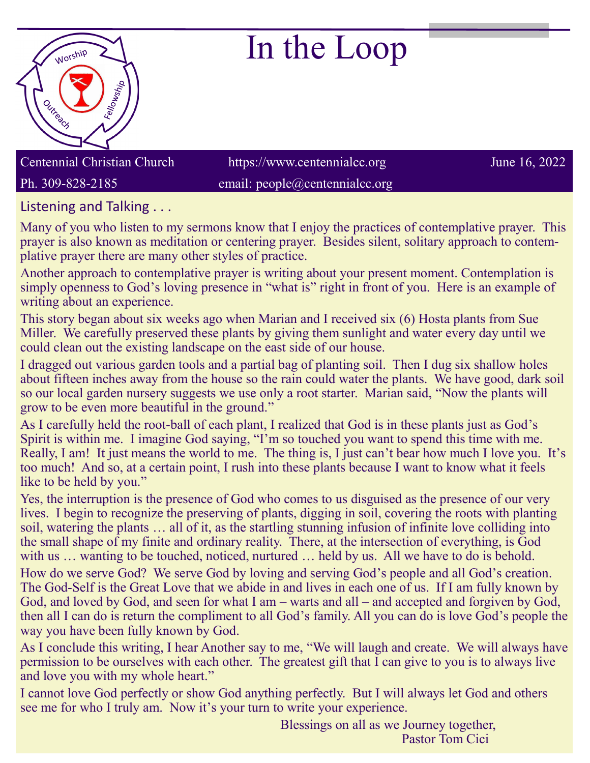

## In the Loop

Centennial Christian Church https://www.centennialcc.org June 16, 2022 Ph. 309-828-2185 email: people@centennialcc.org

Listening and Talking . . .

Many of you who listen to my sermons know that I enjoy the practices of contemplative prayer. This prayer is also known as meditation or centering prayer. Besides silent, solitary approach to contemplative prayer there are many other styles of practice.

Another approach to contemplative prayer is writing about your present moment. Contemplation is simply openness to God's loving presence in "what is" right in front of you. Here is an example of writing about an experience.

This story began about six weeks ago when Marian and I received six (6) Hosta plants from Sue Miller. We carefully preserved these plants by giving them sunlight and water every day until we could clean out the existing landscape on the east side of our house.

I dragged out various garden tools and a partial bag of planting soil. Then I dug six shallow holes about fifteen inches away from the house so the rain could water the plants. We have good, dark soil so our local garden nursery suggests we use only a root starter. Marian said, "Now the plants will grow to be even more beautiful in the ground."

As I carefully held the root-ball of each plant, I realized that God is in these plants just as God's Spirit is within me. I imagine God saying, "I'm so touched you want to spend this time with me. Really, I am! It just means the world to me. The thing is, I just can't bear how much I love you. It's too much! And so, at a certain point, I rush into these plants because I want to know what it feels like to be held by you."

Yes, the interruption is the presence of God who comes to us disguised as the presence of our very lives. I begin to recognize the preserving of plants, digging in soil, covering the roots with planting soil, watering the plants … all of it, as the startling stunning infusion of infinite love colliding into the small shape of my finite and ordinary reality. There, at the intersection of everything, is God with us … wanting to be touched, noticed, nurtured … held by us. All we have to do is behold. How do we serve God? We serve God by loving and serving God's people and all God's creation. The God-Self is the Great Love that we abide in and lives in each one of us. If I am fully known by God, and loved by God, and seen for what I am – warts and all – and accepted and forgiven by God, then all I can do is return the compliment to all God's family. All you can do is love God's people the way you have been fully known by God.

As I conclude this writing, I hear Another say to me, "We will laugh and create. We will always have permission to be ourselves with each other. The greatest gift that I can give to you is to always live and love you with my whole heart."

I cannot love God perfectly or show God anything perfectly. But I will always let God and others see me for who I truly am. Now it's your turn to write your experience.

> Blessings on all as we Journey together, Pastor Tom Cici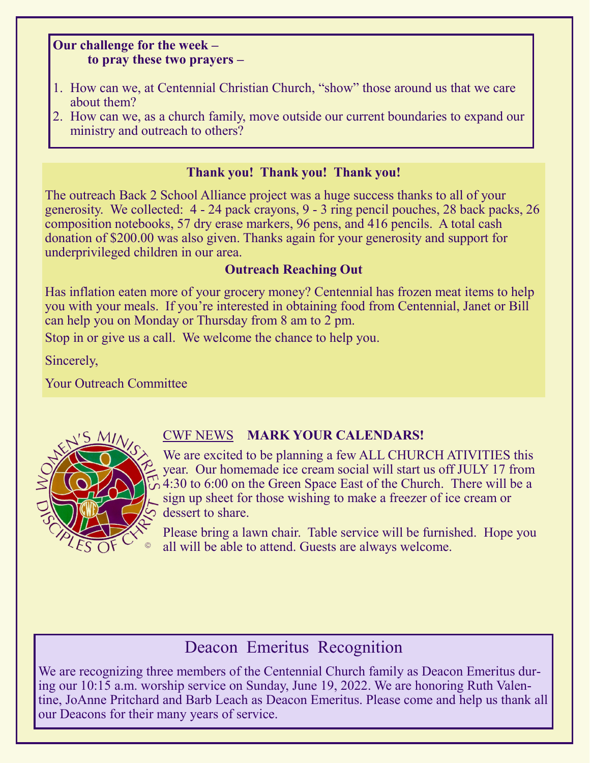## **Our challenge for the week – to pray these two prayers –**

- 1. How can we, at Centennial Christian Church, "show" those around us that we care about them?
- 2. How can we, as a church family, move outside our current boundaries to expand our ministry and outreach to others?

## **Thank you! Thank you! Thank you!**

The outreach Back 2 School Alliance project was a huge success thanks to all of your generosity. We collected: 4 - 24 pack crayons, 9 - 3 ring pencil pouches, 28 back packs, 26 composition notebooks, 57 dry erase markers, 96 pens, and 416 pencils. A total cash donation of \$200.00 was also given. Thanks again for your generosity and support for underprivileged children in our area.

## **Outreach Reaching Out**

Has inflation eaten more of your grocery money? Centennial has frozen meat items to help you with your meals. If you're interested in obtaining food from Centennial, Janet or Bill can help you on Monday or Thursday from 8 am to 2 pm.

Stop in or give us a call. We welcome the chance to help you.

Sincerely,

Your Outreach Committee



## CWF NEWS **MARK YOUR CALENDARS!**

We are excited to be planning a few ALL CHURCH ATIVITIES this year. Our homemade ice cream social will start us off JULY 17 from  $\alpha$  4:30 to 6:00 on the Green Space East of the Church. There will be a sign up sheet for those wishing to make a freezer of ice cream or dessert to share.

Please bring a lawn chair. Table service will be furnished. Hope you all will be able to attend. Guests are always welcome.

## Deacon Emeritus Recognition

We are recognizing three members of the Centennial Church family as Deacon Emeritus during our 10:15 a.m. worship service on Sunday, June 19, 2022. We are honoring Ruth Valentine, JoAnne Pritchard and Barb Leach as Deacon Emeritus. Please come and help us thank all our Deacons for their many years of service.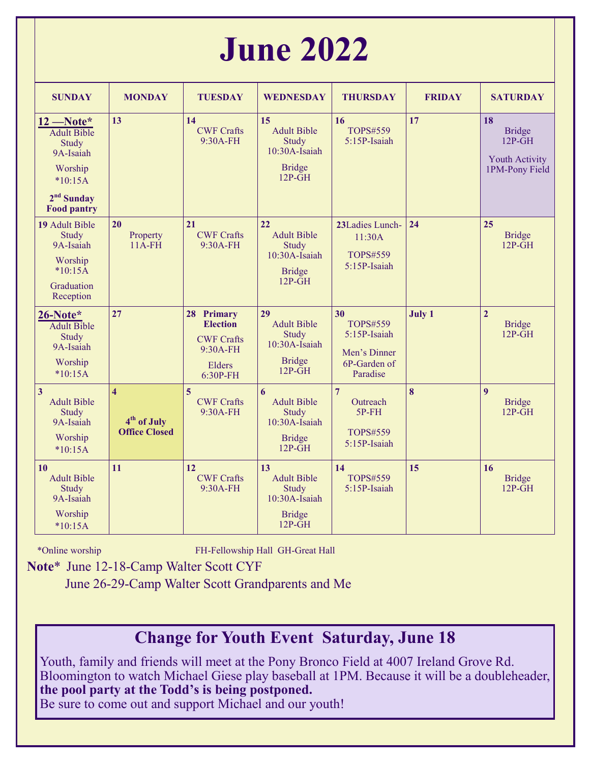# **June 2022**

| <b>SUNDAY</b>                                                                                                         | <b>MONDAY</b>                                                              | <b>TUESDAY</b>                                                                       | <b>WEDNESDAY</b>                                                                                         | <b>THURSDAY</b>                                                                   | <b>FRIDAY</b> | <b>SATURDAY</b>                                                            |
|-----------------------------------------------------------------------------------------------------------------------|----------------------------------------------------------------------------|--------------------------------------------------------------------------------------|----------------------------------------------------------------------------------------------------------|-----------------------------------------------------------------------------------|---------------|----------------------------------------------------------------------------|
| $12$ –Note*<br><b>Adult Bible</b><br>Study<br>9A-Isaiah<br>Worship<br>$*10:15A$<br>$2nd$ Sunday<br><b>Food pantry</b> | 13                                                                         | 14<br><b>CWF Crafts</b><br>9:30A-FH                                                  | 15<br><b>Adult Bible</b><br>Study<br>10:30A-Isaiah<br><b>Bridge</b><br>$12P-GH$                          | 16<br>TOPS#559<br>5:15P-Isaiah                                                    | 17            | 18<br><b>Bridge</b><br>$12P-GH$<br><b>Youth Activity</b><br>1PM-Pony Field |
| 19 Adult Bible<br>Study<br>9A-Isaiah<br>Worship<br>$*10:15A$<br>Graduation<br>Reception                               | 20<br>Property<br>$11A$ - $FH$                                             | 21<br><b>CWF Crafts</b><br>9:30A-FH                                                  | 22<br><b>Adult Bible</b><br><b>Study</b><br>10:30A-Isaiah<br><b>Bridge</b><br>$12P\text{-}\overline{GH}$ | 23Ladies Lunch-<br>11:30A<br><b>TOPS#559</b><br>5:15P-Isaiah                      | 24            | 25<br><b>Bridge</b><br>$12P-\overline{GH}$                                 |
| 26-Note*<br><b>Adult Bible</b><br>Study<br>9A-Isaiah<br>Worship<br>$*10:15A$                                          | 27                                                                         | 28 Primary<br><b>Election</b><br><b>CWF Crafts</b><br>9:30A-FH<br>Elders<br>6:30P-FH | 29<br><b>Adult Bible</b><br>Study<br>$10:30A$ -Isaiah<br><b>Bridge</b><br>$12P-\overline{GH}$            | 30<br><b>TOPS#559</b><br>5:15P-Isaiah<br>Men's Dinner<br>6P-Garden of<br>Paradise | July 1        | $\overline{2}$<br><b>Bridge</b><br>$12P-GH$                                |
| $\overline{3}$<br><b>Adult Bible</b><br>Study<br>9A-Isaiah<br>Worship<br>$*10:15A$                                    | $\overline{\mathbf{4}}$<br>4 <sup>th</sup> of July<br><b>Office Closed</b> | 5<br><b>CWF Crafts</b><br>9:30A-FH                                                   | 6<br><b>Adult Bible</b><br>Study<br>$10:30A$ -Isaiah<br><b>Bridge</b><br>$12P\text{-}\overline{GH}$      | $\overline{7}$<br>Outreach<br>$5P$ - $FH$<br><b>TOPS#559</b><br>5:15P-Isaiah      | 8             | $\boldsymbol{q}$<br><b>Bridge</b><br>$12P-GH$                              |
| 10<br><b>Adult Bible</b><br>Study<br>9A-Isaiah<br>Worship<br>$*10:15A$                                                | 11                                                                         | 12<br><b>CWF Crafts</b><br>9:30A-FH                                                  | 13<br><b>Adult Bible</b><br>Study<br>10:30A-Isaiah<br><b>Bridge</b><br>$12P-GH$                          | 14<br><b>TOPS#559</b><br>5:15P-Isaiah                                             | 15            | 16<br><b>Bridge</b><br>$12P-GH$                                            |

\*Online worship FH-Fellowship Hall GH-Great Hall

 **Note**\* June 12-18-Camp Walter Scott CYF

June 26-29-Camp Walter Scott Grandparents and Me

## **Change for Youth Event Saturday, June 18**

Youth, family and friends will meet at the Pony Bronco Field at 4007 Ireland Grove Rd. Bloomington to watch Michael Giese play baseball at 1PM. Because it will be a doubleheader, **the pool party at the Todd's is being postponed.**

Be sure to come out and support Michael and our youth!